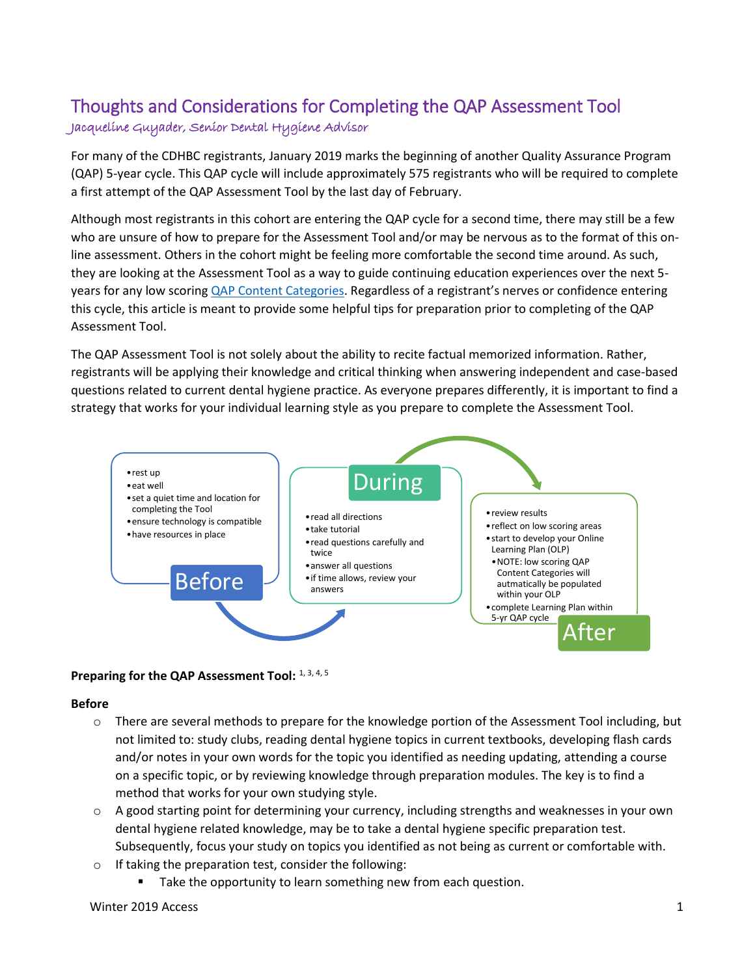# Thoughts and Considerations for Completing the QAP Assessment Tool Jacqueline Guyader, Senior Dental Hygiene Advisor

For many of the CDHBC registrants, January 2019 marks the beginning of another Quality Assurance Program (QAP) 5-year cycle. This QAP cycle will include approximately 575 registrants who will be required to complete a first attempt of the QAP Assessment Tool by the last day of February.

Although most registrants in this cohort are entering the QAP cycle for a second time, there may still be a few who are unsure of how to prepare for the Assessment Tool and/or may be nervous as to the format of this online assessment. Others in the cohort might be feeling more comfortable the second time around. As such, they are looking at the Assessment Tool as a way to guide continuing education experiences over the next 5 years for any low scoring [QAP Content Categories.](http://www.cdhbc.com/Documents/QAP-Content-Categories-Expanded-Definitions.aspx) Regardless of a registrant's nerves or confidence entering this cycle, this article is meant to provide some helpful tips for preparation prior to completing of the QAP Assessment Tool.

The QAP Assessment Tool is not solely about the ability to recite factual memorized information. Rather, registrants will be applying their knowledge and critical thinking when answering independent and case-based questions related to current dental hygiene practice. As everyone prepares differently, it is important to find a strategy that works for your individual learning style as you prepare to complete the Assessment Tool.



## Preparing for the QAP Assessment Tool: 1, 3, 4, 5

#### **Before**

- $\circ$  There are several methods to prepare for the knowledge portion of the Assessment Tool including, but not limited to: study clubs, reading dental hygiene topics in current textbooks, developing flash cards and/or notes in your own words for the topic you identified as needing updating, attending a course on a specific topic, or by reviewing knowledge through preparation modules. The key is to find a method that works for your own studying style.
- o A good starting point for determining your currency, including strengths and weaknesses in your own dental hygiene related knowledge, may be to take a dental hygiene specific preparation test. Subsequently, focus your study on topics you identified as not being as current or comfortable with.
- o If taking the preparation test, consider the following:
	- Take the opportunity to learn something new from each question.

#### Winter 2019 Access 2019 **Access** 2019 **1**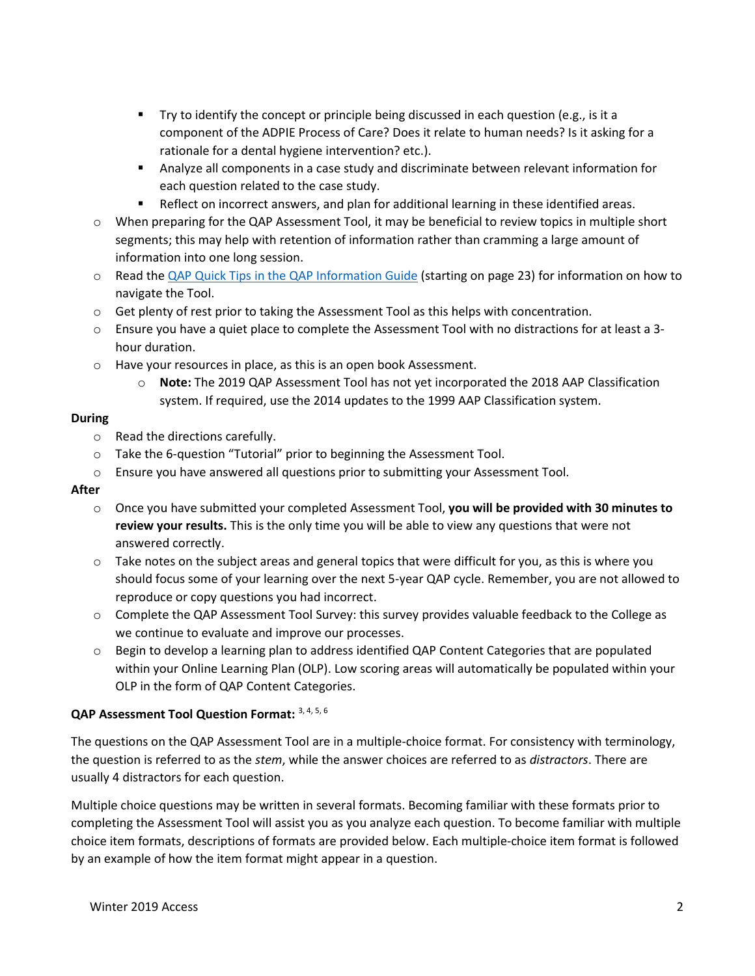- Try to identify the concept or principle being discussed in each question (e.g., is it a component of the ADPIE Process of Care? Does it relate to human needs? Is it asking for a rationale for a dental hygiene intervention? etc.).
- Analyze all components in a case study and discriminate between relevant information for each question related to the case study.
- Reflect on incorrect answers, and plan for additional learning in these identified areas.
- o When preparing for the QAP Assessment Tool, it may be beneficial to review topics in multiple short segments; this may help with retention of information rather than cramming a large amount of information into one long session.
- o Read the QAP Quick Tips [in the QAP Information Guide](http://www.cdhbc.com/Documents/CDHBC-QAP-Info-Guide.aspx) (starting on page 23) for information on how to navigate the Tool.
- o Get plenty of rest prior to taking the Assessment Tool as this helps with concentration.
- o Ensure you have a quiet place to complete the Assessment Tool with no distractions for at least a 3 hour duration.
- o Have your resources in place, as this is an open book Assessment.
	- o **Note:** The 2019 QAP Assessment Tool has not yet incorporated the 2018 AAP Classification system. If required, use the 2014 updates to the 1999 AAP Classification system.

# **During**

- o Read the directions carefully.
- o Take the 6-question "Tutorial" prior to beginning the Assessment Tool.
- $\circ$  Ensure you have answered all questions prior to submitting your Assessment Tool.

# **After**

- o Once you have submitted your completed Assessment Tool, **you will be provided with 30 minutes to review your results.** This is the only time you will be able to view any questions that were not answered correctly.
- $\circ$  Take notes on the subject areas and general topics that were difficult for you, as this is where you should focus some of your learning over the next 5-year QAP cycle. Remember, you are not allowed to reproduce or copy questions you had incorrect.
- o Complete the QAP Assessment Tool Survey: this survey provides valuable feedback to the College as we continue to evaluate and improve our processes.
- o Begin to develop a learning plan to address identified QAP Content Categories that are populated within your Online Learning Plan (OLP). Low scoring areas will automatically be populated within your OLP in the form of QAP Content Categories.

# **QAP Assessment Tool Question Format:** 3, 4, 5, 6

The questions on the QAP Assessment Tool are in a multiple-choice format. For consistency with terminology, the question is referred to as the *stem*, while the answer choices are referred to as *distractors*. There are usually 4 distractors for each question.

Multiple choice questions may be written in several formats. Becoming familiar with these formats prior to completing the Assessment Tool will assist you as you analyze each question. To become familiar with multiple choice item formats, descriptions of formats are provided below. Each multiple-choice item format is followed by an example of how the item format might appear in a question.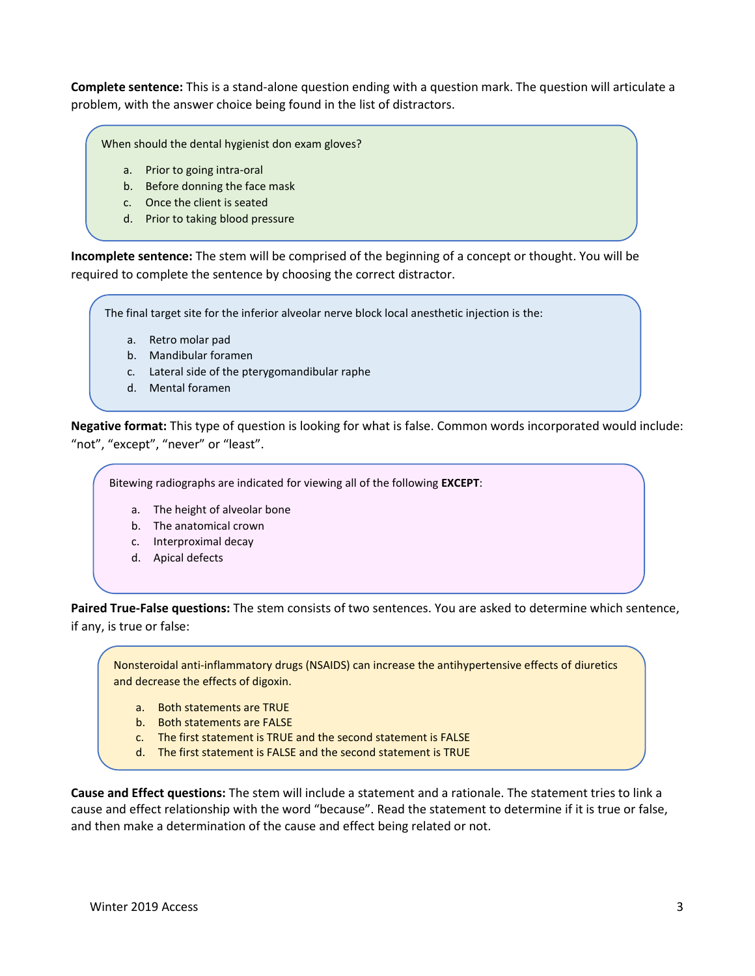**Complete sentence:** This is a stand-alone question ending with a question mark. The question will articulate a problem, with the answer choice being found in the list of distractors.

When should the dental hygienist don exam gloves?

- a. Prior to going intra-oral
- b. Before donning the face mask
- c. Once the client is seated
- d. Prior to taking blood pressure

**Incomplete sentence:** The stem will be comprised of the beginning of a concept or thought. You will be required to complete the sentence by choosing the correct distractor.

The final target site for the inferior alveolar nerve block local anesthetic injection is the:

- a. Retro molar pad
- b. Mandibular foramen
- c. Lateral side of the pterygomandibular raphe
- d. Mental foramen

**Negative format:** This type of question is looking for what is false. Common words incorporated would include: "not", "except", "never" or "least".

Bitewing radiographs are indicated for viewing all of the following **EXCEPT**:

- a. The height of alveolar bone
- b. The anatomical crown
- c. Interproximal decay
- d. Apical defects

**Paired True-False questions:** The stem consists of two sentences. You are asked to determine which sentence, if any, is true or false:

Nonsteroidal anti-inflammatory drugs (NSAIDS) can increase the antihypertensive effects of diuretics and decrease the effects of digoxin.

- a. Both statements are TRUE
- b. Both statements are FALSE
- c. The first statement is TRUE and the second statement is FALSE
- d. The first statement is FALSE and the second statement is TRUE

**Cause and Effect questions:** The stem will include a statement and a rationale. The statement tries to link a cause and effect relationship with the word "because". Read the statement to determine if it is true or false, and then make a determination of the cause and effect being related or not.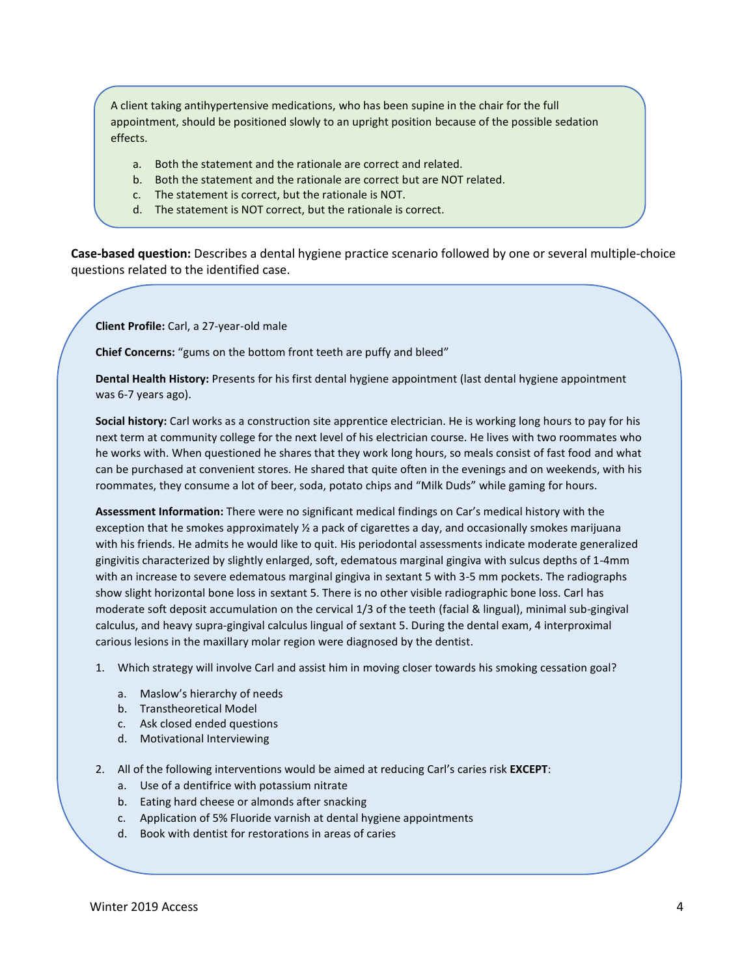A client taking antihypertensive medications, who has been supine in the chair for the full appointment, should be positioned slowly to an upright position because of the possible sedation effects.

- a. Both the statement and the rationale are correct and related.
- b. Both the statement and the rationale are correct but are NOT related.
- c. The statement is correct, but the rationale is NOT.
- d. The statement is NOT correct, but the rationale is correct.

e. NEITHER the statement NOR the rationale is correct.

**Case-based question:** Describes a dental hygiene practice scenario followed by one or several multiple-choice questions related to the identified case.

**Client Profile:** Carl, a 27-year-old male

**Chief Concerns:** "gums on the bottom front teeth are puffy and bleed"

**Dental Health History:** Presents for his first dental hygiene appointment (last dental hygiene appointment was 6-7 years ago).

**Social history:** Carl works as a construction site apprentice electrician. He is working long hours to pay for his next term at community college for the next level of his electrician course. He lives with two roommates who he works with. When questioned he shares that they work long hours, so meals consist of fast food and what can be purchased at convenient stores. He shared that quite often in the evenings and on weekends, with his roommates, they consume a lot of beer, soda, potato chips and "Milk Duds" while gaming for hours.

**Assessment Information:** There were no significant medical findings on Car's medical history with the exception that he smokes approximately ½ a pack of cigarettes a day, and occasionally smokes marijuana with his friends. He admits he would like to quit. His periodontal assessments indicate moderate generalized gingivitis characterized by slightly enlarged, soft, edematous marginal gingiva with sulcus depths of 1-4mm with an increase to severe edematous marginal gingiva in sextant 5 with 3-5 mm pockets. The radiographs show slight horizontal bone loss in sextant 5. There is no other visible radiographic bone loss. Carl has moderate soft deposit accumulation on the cervical 1/3 of the teeth (facial & lingual), minimal sub-gingival calculus, and heavy supra-gingival calculus lingual of sextant 5. During the dental exam, 4 interproximal carious lesions in the maxillary molar region were diagnosed by the dentist.

- 1. Which strategy will involve Carl and assist him in moving closer towards his smoking cessation goal?
	- a. Maslow's hierarchy of needs
	- b. Transtheoretical Model
	- c. Ask closed ended questions
	- d. Motivational Interviewing
- 2. All of the following interventions would be aimed at reducing Carl's caries risk **EXCEPT**:
	- a. Use of a dentifrice with potassium nitrate
	- b. Eating hard cheese or almonds after snacking
	- c. Application of 5% Fluoride varnish at dental hygiene appointments
	- d. Book with dentist for restorations in areas of caries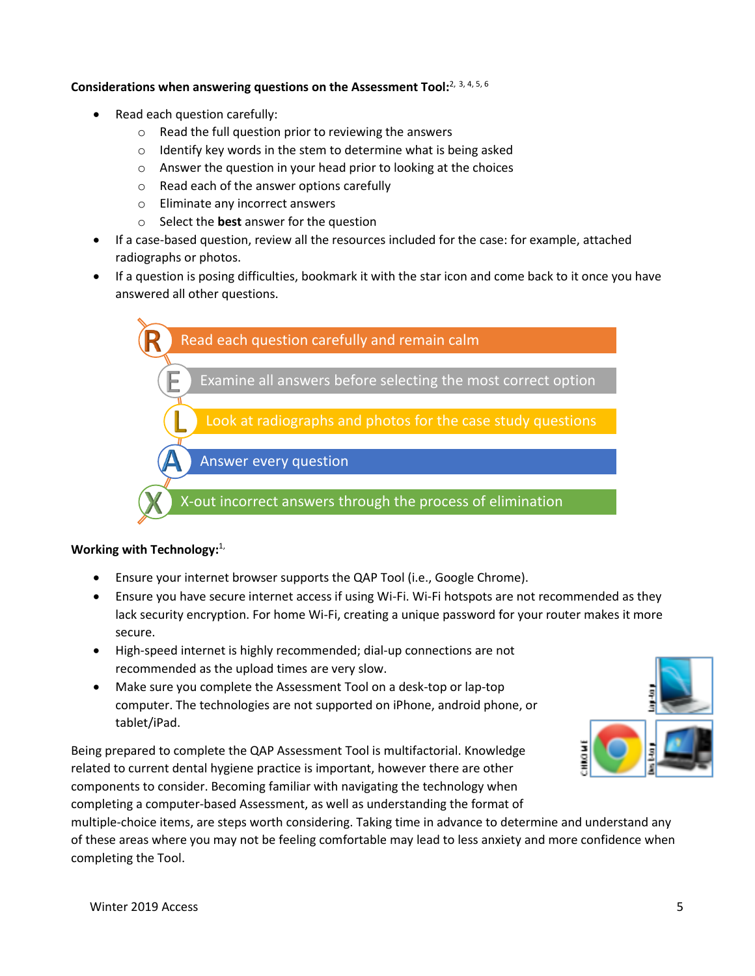## **Considerations when answering questions on the Assessment Tool:**2, 3, 4, 5, 6

- Read each question carefully:
	- o Read the full question prior to reviewing the answers
	- o Identify key words in the stem to determine what is being asked
	- o Answer the question in your head prior to looking at the choices
	- o Read each of the answer options carefully
	- o Eliminate any incorrect answers
	- o Select the **best** answer for the question
- If a case-based question, review all the resources included for the case: for example, attached radiographs or photos.
- If a question is posing difficulties, bookmark it with the star icon and come back to it once you have answered all other questions.



## **Working with Technology:**1,

- Ensure your internet browser supports the QAP Tool (i.e., Google Chrome).
- Ensure you have secure internet access if using Wi-Fi. Wi-Fi hotspots are not recommended as they lack security encryption. For home Wi-Fi, creating a unique password for your router makes it more secure.
- High-speed internet is highly recommended; dial-up connections are not recommended as the upload times are very slow.
- Make sure you complete the Assessment Tool on a desk-top or lap-top computer. The technologies are not supported on iPhone, android phone, or tablet/iPad.

Being prepared to complete the QAP Assessment Tool is multifactorial. Knowledge related to current dental hygiene practice is important, however there are other components to consider. Becoming familiar with navigating the technology when completing a computer-based Assessment, as well as understanding the format of



multiple-choice items, are steps worth considering. Taking time in advance to determine and understand any of these areas where you may not be feeling comfortable may lead to less anxiety and more confidence when completing the Tool.